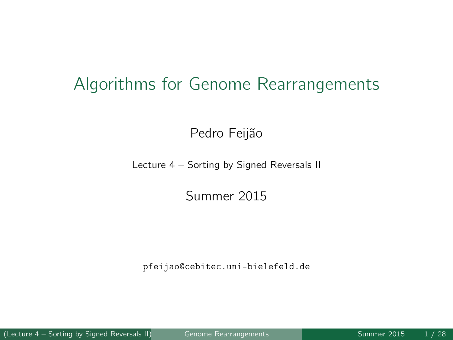#### Algorithms for Genome Rearrangements

Pedro Feijão

Lecture 4 – Sorting by Signed Reversals II

Summer 2015

pfeijao@cebitec.uni-bielefeld.de

(Lecture 4 – Sorting by Signed Reversals II) Genome Rearrangements Summer 2015 1/28

<span id="page-0-0"></span>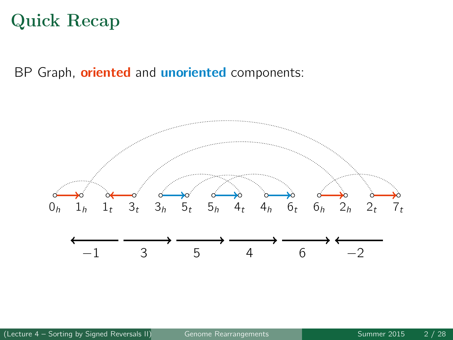## Quick Recap

BP Graph, **oriented** and **unoriented** components:

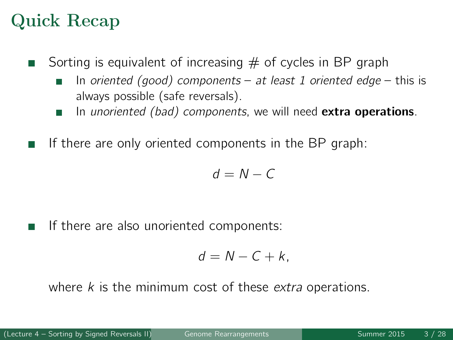## Quick Recap

- Sorting is equivalent of increasing  $#$  of cycles in BP graph
	- In oriented (good) components at least 1 oriented edge this is always possible (safe reversals).
	- In unoriented (bad) components, we will need extra operations.
- If there are only oriented components in the BP graph:

$$
d=N-C
$$

If there are also unoriented components:

$$
d=N-C+k,
$$

where  $k$  is the minimum cost of these extra operations.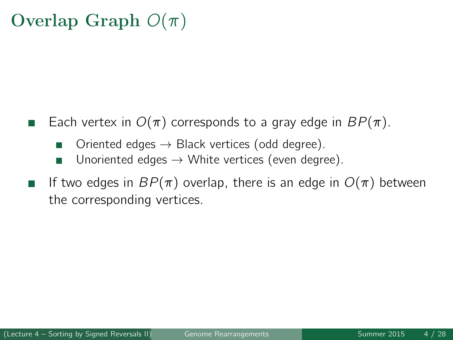## Overlap Graph  $O(\pi)$

- Each vertex in  $O(\pi)$  corresponds to a gray edge in  $BP(\pi)$ .
	- Oriented edges  $\rightarrow$  Black vertices (odd degree).
	- Unoriented edges  $\rightarrow$  White vertices (even degree). ш
- If two edges in  $BP(\pi)$  overlap, there is an edge in  $O(\pi)$  between the corresponding vertices.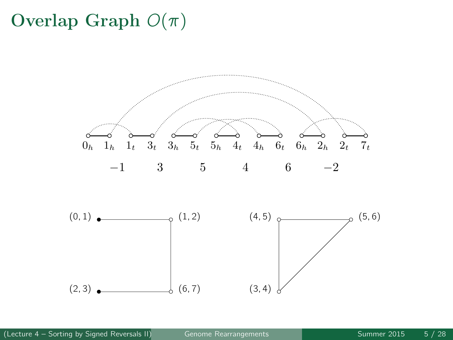# Overlap Graph  $O(\pi)$



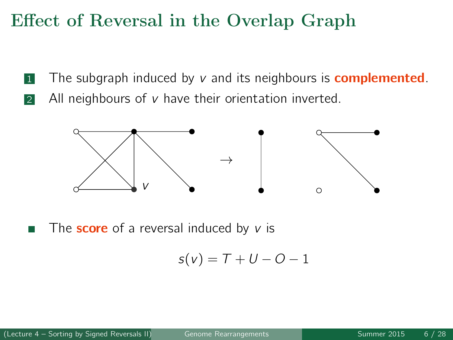## Effect of Reversal in the Overlap Graph

- **1** The subgraph induced by  $v$  and its neighbours is **complemented**.
- 2 All neighbours of  $v$  have their orientation inverted.



The **score** of a reversal induced by  $v$  is

$$
s(v) = T + U - O - 1
$$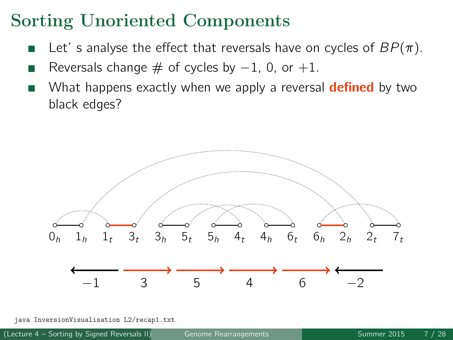## Sorting Unoriented Components

- Let' s analyse the effect that reversals have on cycles of  $BP(\pi)$ .
- Reversals change  $\#$  of cycles by  $-1$ , 0, or  $+1$ .
- What happens exactly when we apply a reversal **defined** by two black edges?



java InversionVisualisation L2/recap1.txt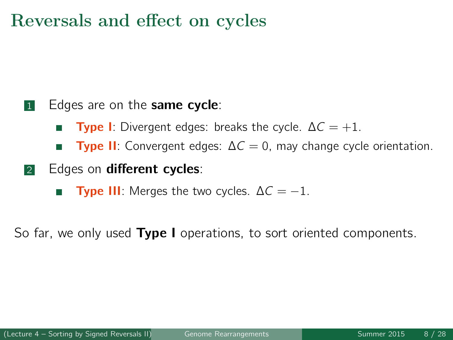#### Reversals and effect on cycles

#### **1** Edges are on the **same cycle**:

- **Type I:** Divergent edges: breaks the cycle.  $\Delta C = +1$ .
- **Type II:** Convergent edges:  $\Delta C = 0$ , may change cycle orientation.
- 2 Edges on different cycles:
	- **Type III:** Merges the two cycles.  $\Delta C = -1$ .  $\overline{\phantom{a}}$

So far, we only used Type I operations, to sort oriented components.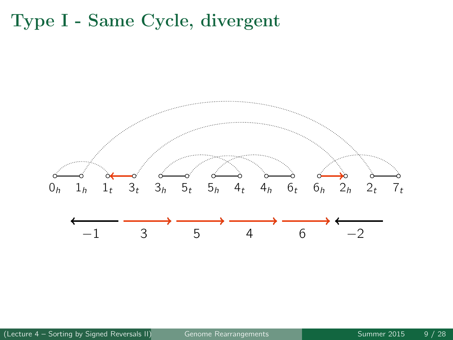## Type I - Same Cycle, divergent

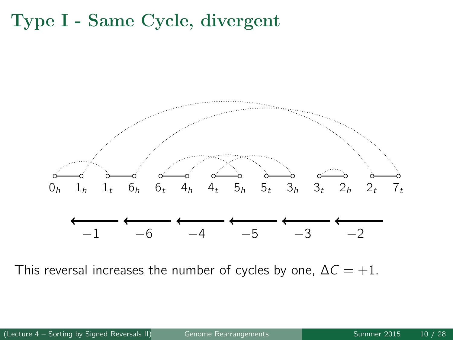## Type I - Same Cycle, divergent



This reversal increases the number of cycles by one,  $\Delta C = +1$ .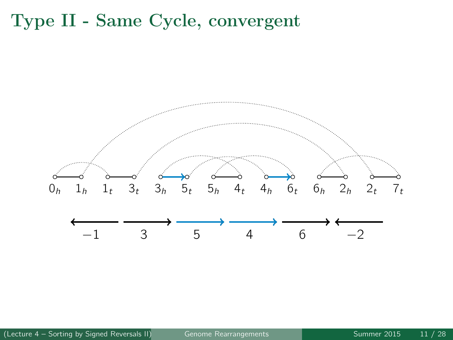#### Type II - Same Cycle, convergent

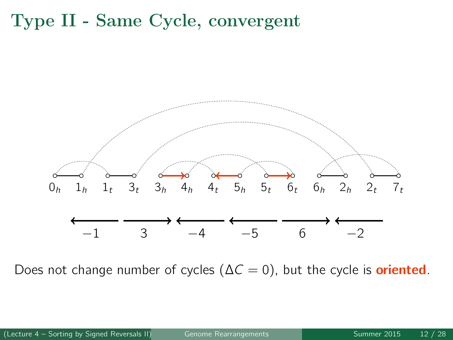## Type II - Same Cycle, convergent



Does not change number of cycles ( $\Delta C = 0$ ), but the cycle is **oriented**.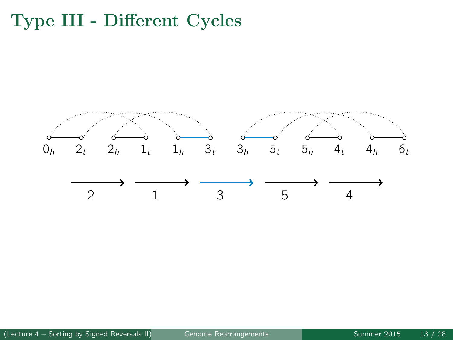## Type III - Different Cycles



(Lecture 4 – Sorting by Signed Reversals II) [Genome Rearrangements](#page-0-0) Summer 2015 13 / 28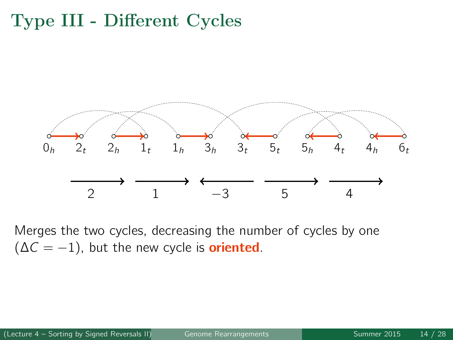## Type III - Different Cycles



Merges the two cycles, decreasing the number of cycles by one  $(\Delta C = -1)$ , but the new cycle is **oriented**.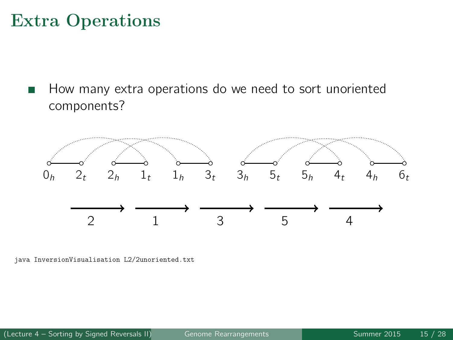#### Extra Operations

How many extra operations do we need to sort unoriented components?



java InversionVisualisation L2/2unoriented.txt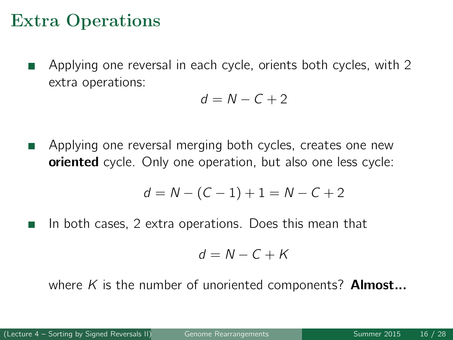#### Extra Operations

Applying one reversal in each cycle, orients both cycles, with 2 extra operations:

$$
d = N - C + 2
$$

Applying one reversal merging both cycles, creates one new П **oriented** cycle. Only one operation, but also one less cycle:

$$
d = N - (C - 1) + 1 = N - C + 2
$$

In both cases, 2 extra operations. Does this mean that

$$
d = N - C + K
$$

where K is the number of unoriented components? **Almost...**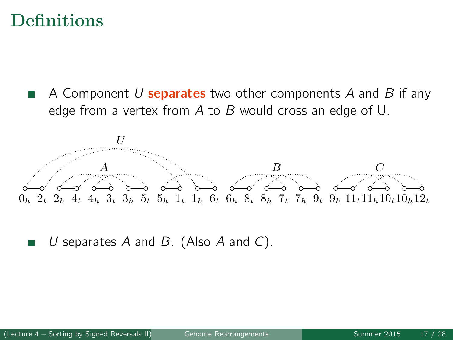#### **Definitions**

A Component  $U$  separates two other components  $A$  and  $B$  if any edge from a vertex from A to B would cross an edge of U.



U separates A and B. (Also A and C).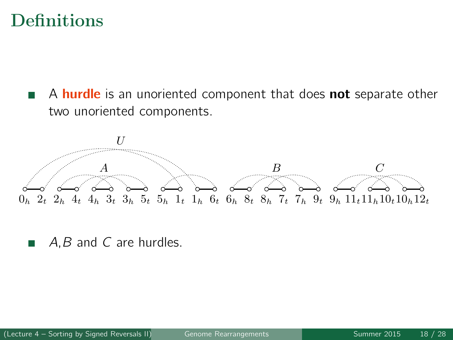#### **Definitions**

A **hurdle** is an unoriented component that does **not** separate other  $\Box$ two unoriented components.



A, B and C are hurdles.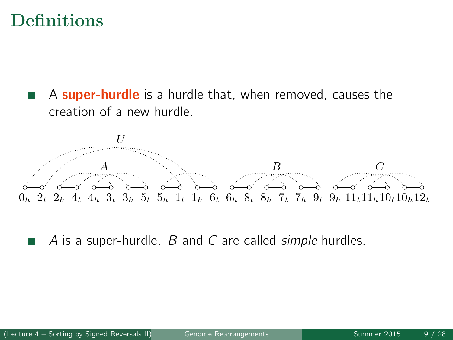#### **Definitions**

A **super-hurdle** is a hurdle that, when removed, causes the  $\Box$ creation of a new hurdle.



A is a super-hurdle. B and C are called *simple* hurdles.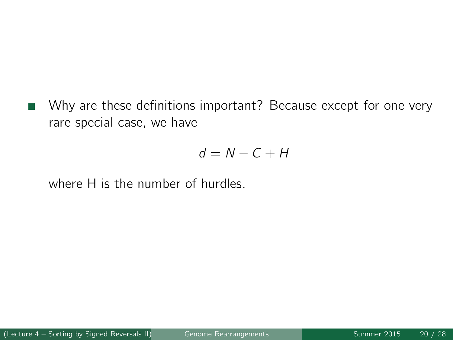Why are these definitions important? Because except for one very **I** rare special case, we have

$$
d = N - C + H
$$

where H is the number of hurdles.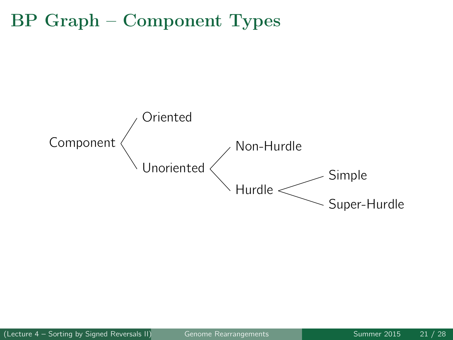#### BP Graph – Component Types

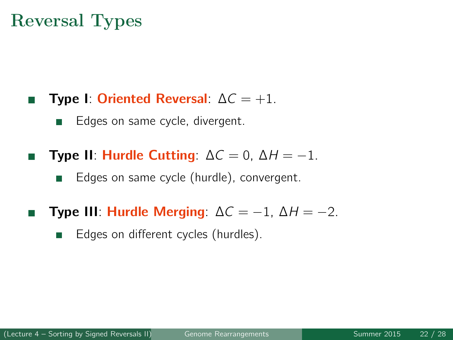### Reversal Types

- Type I: Oriented Reversal:  $\Delta C = +1$ .  $\Box$ 
	- П Edges on same cycle, divergent.
- Type II: Hurdle Cutting:  $\Delta C = 0$ ,  $\Delta H = -1$ .
	- **The State** Edges on same cycle (hurdle), convergent.
- Type III: Hurdle Merging:  $\Delta C = -1$ ,  $\Delta H = -2$ . П
	- Edges on different cycles (hurdles).  $\overline{\phantom{a}}$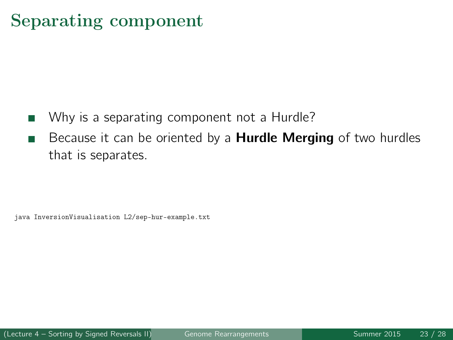## Separating component

- Why is a separating component not a Hurdle?
- Because it can be oriented by a **Hurdle Merging** of two hurdles that is separates.

java InversionVisualisation L2/sep-hur-example.txt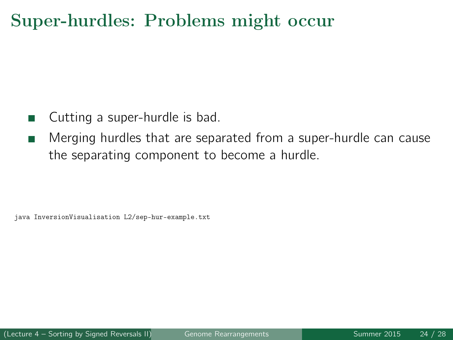## Super-hurdles: Problems might occur

- Cutting a super-hurdle is bad.
- Merging hurdles that are separated from a super-hurdle can cause - 1 the separating component to become a hurdle.

java InversionVisualisation L2/sep-hur-example.txt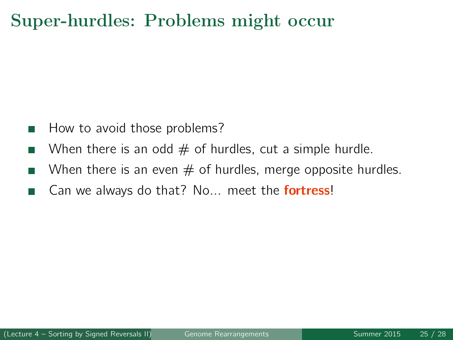## Super-hurdles: Problems might occur

- How to avoid those problems?
- When there is an odd  $#$  of hurdles, cut a simple hurdle.
- When there is an even  $#$  of hurdles, merge opposite hurdles. Ш
- Can we always do that? No... meet the **fortress!**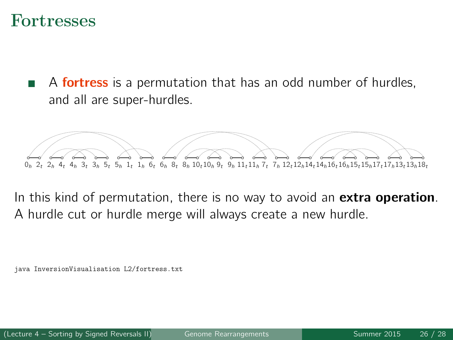#### Fortresses

A **fortress** is a permutation that has an odd number of hurdles, and all are super-hurdles.



In this kind of permutation, there is no way to avoid an **extra operation**. A hurdle cut or hurdle merge will always create a new hurdle.

InversionVisualisation L2/fortress.txt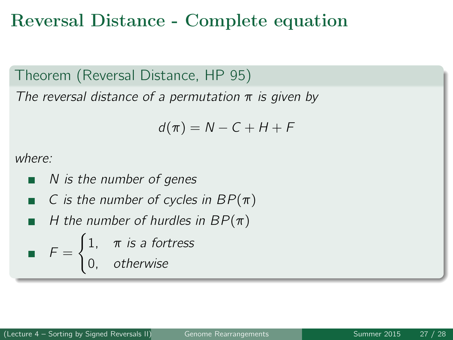#### Reversal Distance - Complete equation

Theorem (Reversal Distance, HP 95)

The reversal distance of a permutation  $\pi$  is given by

$$
d(\pi) = N - C + H + F
$$

where:

- N is the number of genes П
- C is the number of cycles in  $BP(\pi)$ п
- H the number of hurdles in  $BP(\pi)$

$$
F = \begin{cases} 1, & \pi \text{ is a fortrees} \\ 0, & \text{otherwise} \end{cases}
$$